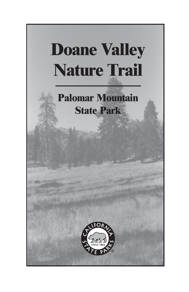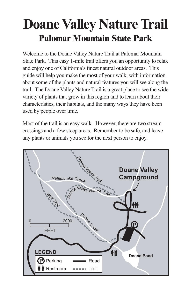# **Doane Valley Nature Trail Palomar Mountain State Park**

Welcome to the Doane Valley Nature Trail at Palomar Mountain State Park. This easy 1-mile trail offers you an opportunity to relax and enjoy one of California's finest natural outdoor areas. This guide will help you make the most of your walk, with information about some of the plants and natural features you will see along the trail. The Doane Valley Nature Trail is a great place to see the wide variety of plants that grow in this region and to learn about their characteristics, their habitats, and the many ways they have been used by people over time.

Most of the trail is an easy walk. However, there are two stream crossings and a few steep areas. Remember to be safe, and leave any plants or animals you see for the next person to enjoy.

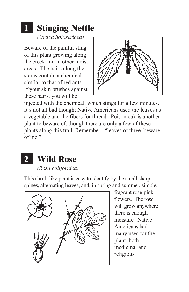### **1 Stinging Nettle**

*(Urtica holosericea)* 

Beware of the painful sting of this plant growing along the creek and in other moist areas. The hairs along the stems contain a chemical similar to that of red ants. If your skin brushes against these hairs, you will be



injected with the chemical, which stings for a few minutes. It's not all bad though; Native Americans used the leaves as a vegetable and the fibers for thread. Poison oak is another plant to beware of, though there are only a few of these plants along this trail. Remember: "leaves of three, beware of me."



This shrub-like plant is easy to identify by the small sharp spines, alternating leaves, and, in spring and summer, simple,



fragrant rose-pink flowers. The rose will grow anywhere there is enough moisture. Native Americans had many uses for the plant, both medicinal and religious.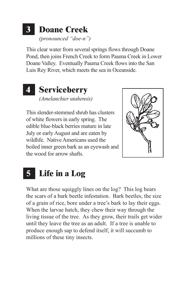#### **3 Doane Creek**  *(pronounced "doe-n")*

This clear water from several springs flows through Doane Pond, then joins French Creek to form Pauma Creek in Lower Doane Valley. Eventually Pauma Creek flows into the San Luis Rey River, which meets the sea in Oceanside.

#### **4 Serviceberry**  *(Amelanchier utahensis)*

This slender-stemmed shrub has clusters of white flowers in early spring. The edible blue-black berries mature in late July or early August and are eaten by wildlife. Native Americans used the boiled inner green bark as an eyewash and the wood for arrow shafts.



#### **5 Life in a Log**

What are those squiggly lines on the log? This log bears the scars of a bark beetle infestation. Bark beetles, the size of a grain of rice, bore under a tree's bark to lay their eggs. When the larvae hatch, they chew their way through the living tissue of the tree. As they grow, their trails get wider until they leave the tree as an adult. If a tree is unable to produce enough sap to defend itself, it will succumb to millions of these tiny insects.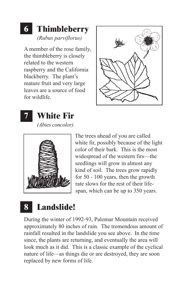# **6 Thimbleberry**

*(Rubus parviflorus)* 

A member of the rose family, the thimbleberry is closely related to the western raspberry and the California blackberry. The plant's mature fruit and very large leaves are a source of food for wildlife.





*(Abies concolor)* 



The trees ahead of you are called white fir, possibly because of the light color of their bark. This is the most widespread of the western firs—the seedlings will grow in almost any kind of soil. The trees grow rapidly for 50 *-* 100 years, then the growth rate slows for the rest of their lifespan, which can be up to 350 years.

### **8 Landslide!**

During the winter of 1992-93, Palomar Mountain received approximately 80 inches of rain. The tremendous amount of rainfall resulted in the landslide you see above. In the time since, the plants are returning, and eventually the area will look much as it did. This is a classic example of the cyclical nature of life—as things die or are destroyed, they are soon replaced by new forms of life.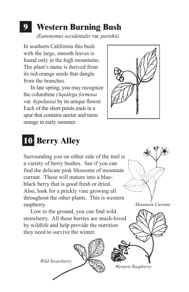#### **9 Western Burning Bush**

*(Eunonymus occidentalis* var. *parishii)* 

In southern California this bush with the large, smooth leaves is found only in the high mountains. The plant's name is derived from its red-orange seeds that dangle from the branches.

 In late spring, you may recognize the columbine *(Aquilega formosa*  var*. hypolasia)* by its unique flower. Each of the short petals ends in a spur that contains nectar and turns orange in early summer.



# **10 Berry Alley**

Surrounding you on either side of the trail is a variety of berry bushes. See if you can find the delicate pink blossoms of mountain currant. These will mature into a blueblack berry that is good fresh or dried. Also, look for a prickly vine growing all throughout the other plants. This is western raspberry.

 Low to the ground, you can find wild strawberry. All these berries are much-loved by wildlife and help provide the nutrition they need to survive the winter.

*Wild Strawberry* 

*Western Raspberry* 

*Mountain Currant*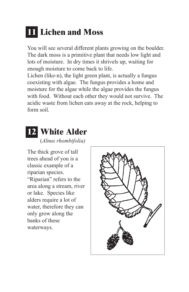# **11 Lichen and Moss**

You will see several different plants growing on the boulder. The dark moss is a primitive plant that needs low light and lots of moisture. In dry times it shrivels up, waiting for enough moisture to come back to life.

Lichen (like-n), the light green plant, is actually a fungus coexisting with algae. The fungus provides a home and moisture for the algae while the algae provides the fungus with food. Without each other they would not survive. The acidic waste from lichen eats away at the rock, helping to form soil.

#### **12 White Alder**

(*Alnus rhombifolia)* 

The thick grove of tall trees ahead of you is a classic example of a riparian species. "Riparian" refers to the area along a stream, river or lake. Species like alders require a lot of water, therefore they can only grow along the banks of these waterways.

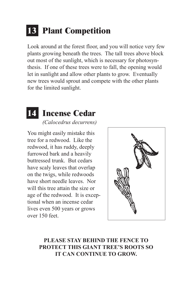## **13 Plant Competition**

Look around at the forest floor, and you will notice very few plants growing beneath the trees. The tall trees above block out most of the sunlight, which is necessary for photosynthesis. If one of these trees were to fall, the opening would let in sunlight and allow other plants to grow. Eventually new trees would sprout and compete with the other plants for the limited sunlight.

### **1** Incense Cedar

*(Calocedrus decurrens)* 

You might easily mistake this tree for a redwood. Like the redwood, it has ruddy, deeply furrowed bark and a heavily buttressed trunk. But cedars have scaly leaves that overlap on the twigs, while redwoods have short needle leaves. Nor will this tree attain the size or age of the redwood. It is exceptional when an incense cedar lives even 500 years or grows over 150 feet.



#### **PROTECT THIS GIANT TREE'S ROOTS SO PLEASE STAY BEHIND THE FENCE TO IT CAN CONTINUE TO GROW.**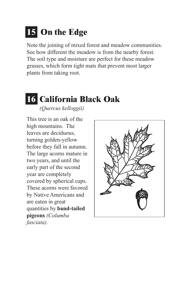# **15 On the Edge**

Note the joining of mixed forest and meadow communities. See how different the meadow is from the nearby forest. The soil type and moisture are perfect for these meadow grasses, which form tight mats that prevent most larger plants from taking root.

# **16 California Black Oak**

*(Quercus kelloggii)* 

This tree is an oak of the high mountains. The leaves are deciduous, turning golden-yellow before they fall in autumn. The large acorns mature in two years, and until the early part of the second year are completely covered by spherical cups. These acorns were favored by Native Americans and are eaten in great quantities by **band-tailed pigeons** *(Columba fasciata).* 

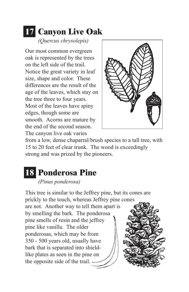## **17 Canyon Live Oak**

*(Quercus chrysolepis)* 

Our most common evergreen oak is represented by the trees on the left side of the trail. Notice the great variety in leaf size, shape and color. These differences are the result of the age of the leaves, which stay on the tree three to four years. Most of the leaves have spiny edges, though some are smooth. Acorns are mature by the end of the second season. The canyon live oak varies



from a low, dense chaparral/brush species to a tall tree, with 15 to 20 feet of clear trunk. The wood is exceedingly strong and was prized by the pioneers.

### **18 Ponderosa Pine**

#### *(Pinus ponderosa)*

This tree is similar to the Jeffrey pine, but its cones are prickly to the touch, whereas Jeffrey pine cones pine smells of resin and the jeffrey pine like vanilla. The older ponderosas, which may be from 350 - 500 years old, usually have bark that is separated into shieldlike plates as seen in the pine on the opposite side of the trail. are not. Another way to tell them apart is by smelling the bark. The ponderosa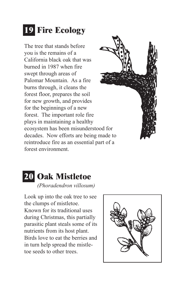# **19 Fire Ecology**

The tree that stands before you is the remains of a California black oak that was burned in 1987 when fire swept through areas of Palomar Mountain. As a fire burns through, it cleans the forest floor, prepares the soil for new growth, and provides for the beginnings of a new forest. The important role fire plays in maintaining a healthy ecosystem has been misunderstood for decades. Now efforts are being made to reintroduce fire as an essential part of a forest environment.



#### **20 Oak Mistletoe**  *(Phoradendron villosum)*

Look up into the oak tree to see the clumps of mistletoe. Known for its traditional uses during Christmas, this partially parasitic plant steals some of its nutrients from its host plant. Birds love to eat the berries and in turn help spread the mistletoe seeds to other trees.

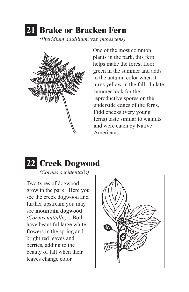# **21 Brake or Bracken Fern**

*(Pteridium aquilinum* var. *pubescens)* 



One of the most common plants in the park, this fern helps make the forest floor green in the summer and adds to the autumn color when it turns yellow in the fall. In late summer look for the reproductive spores on the underside edges of the ferns. Fiddlenecks (very young ferns) taste similar to walnuts and were eaten by Native Americans.



*(Cornus occidentalis)* 

Two types of dogwood grow in the park. Here you see the creek dogwood and further upstream you may see **mountain dogwood**  *(Cornus nuttallii).* Both have beautiful large white flowers in the spring and bright red leaves and berries, adding to the beauty of fall when their leaves change color.

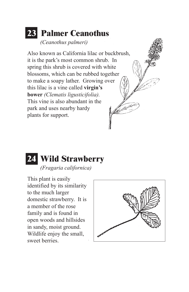#### **23 Palmer Ceanothus**  *(Ceanothus palmeri)*

Also known as California lilac or buckbrush, it is the park's most common shrub. In spring this shrub is covered with white blossoms, which can be rubbed together to make a soapy lather. Growing over this lilac is a vine called **virgin's bower** *(Clematis ligusticifolia).*  This vine is also abundant in the VLI<sup>06</sup> park and uses nearby hardy plants for support.



This plant is easily identified by its similarity to the much larger domestic strawberry. It is a member of the rose family and is found in open woods and hillsides in sandy, moist ground. Wildlife enjoy the small, sweet berries.

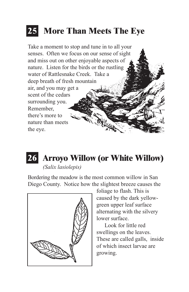# **25 More Than Meets The Eye**





#### **26 Arroyo Willow (or White Willow)**

*(Salix lasiolepis)* 

Bordering the meadow is the most common willow in San Diego County. Notice how the slightest breeze causes the



foliage to flash. This is caused by the dark yellowgreen upper leaf surface alternating with the silvery lower surface.

 Look for little red swellings on the leaves. These are called galls, inside of which insect larvae are growing.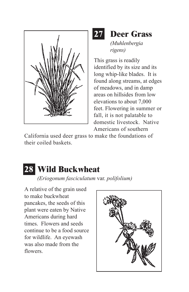



*(Muhlenbergia rigens)* 

This grass is readily identified by its size and its long whip-like blades. It is found along streams, at edges of meadows, and in damp areas on hillsides from low elevations to about 7,000 feet. Flowering in summer or fall, it is not palatable to domestic livestock. Native Americans of southern

California used deer grass to make the foundations of their coiled baskets.

# **28 Wild Buckwheat**

*(Eriogonum fasciculatum* var. *polifolium)* 

A relative of the grain used to make buckwheat pancakes, the seeds of this plant were eaten by Native Americans during hard times. Flowers and seeds continue to be a food source for wildlife. An eyewash was also made from the flowers.

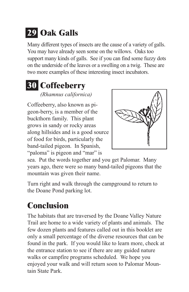# **29 Oak Galls**

Many different types of insects are the cause of a variety of galls. You may have already seen some on the willows. Oaks too support many kinds of galls. See if you can find some fuzzy dots on the underside of the leaves or a swelling on a twig. These are two more examples of these interesting insect incubators.

#### **30 Coffeeberry**  *(Rhamnus californica)*

Coffeeberry, also known as pigeon-berry, is a member of the buckthorn family. This plant grows in sandy or rocky areas along hillsides and is a good source of food for birds, particularly the band-tailed pigeon. In Spanish, "paloma" is pigeon and "mar" is



sea. Put the words together and you get Palomar. Many years ago, there were so many band-tailed pigeons that the mountain was given their name.

Turn right and walk through the campground to return to the Doane Pond parking lot.

### **Conclusion**

The habitats that are traversed by the Doane Valley Nature Trail are home to a wide variety of plants and animals. The few dozen plants and features called out in this booklet are only a small percentage of the diverse resources that can be found in the park. If you would like to learn more, check at the entrance station to see if there are any guided nature walks or campfire programs scheduled. We hope you enjoyed your walk and will return soon to Palomar Mountain State Park.